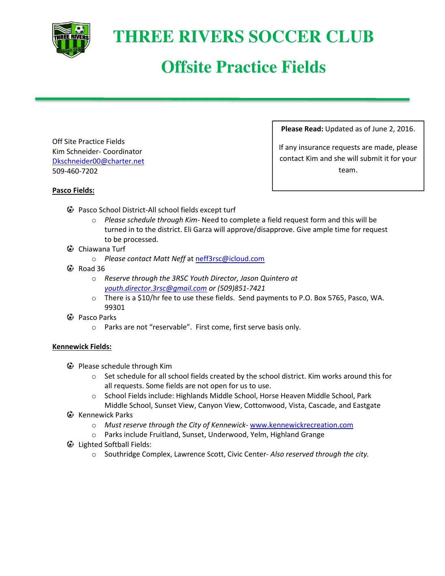

## **THREE RIVERS SOCCER CLUB**

# **Offsite Practice Fields**

Off Site Practice Fields Kim Schneider- Coordinator Dkschneider00@charter.net 509-460-7202

**Please Read:** Updated as of June 2, 2016.

If any insurance requests are made, please contact Kim and she will submit it for your team.

### **Pasco Fields:**

- Pasco School District-All school fields except turf
	- o *Please schedule through Kim-* Need to complete a field request form and this will be turned in to the district. Eli Garza will approve/disapprove. Give ample time for request to be processed.
- Chiawana Turf
	- o *Please contact Matt Neff* at neff3rsc@icloud.com
- $\bullet$  Road 36
	- o *Reserve through the 3RSC Youth Director, Jason Quintero at youth.director.3rsc@gmail.com or (509)851-7421*
	- o There is a \$10/hr fee to use these fields. Send payments to P.O. Box 5765, Pasco, WA. 99301
- **C** Pasco Parks
	- o Parks are not "reservable". First come, first serve basis only.

### **Kennewick Fields:**

- Please schedule through Kim
	- $\circ$  Set schedule for all school fields created by the school district. Kim works around this for all requests. Some fields are not open for us to use.
	- o School Fields include: Highlands Middle School, Horse Heaven Middle School, Park Middle School, Sunset View, Canyon View, Cottonwood, Vista, Cascade, and Eastgate
- $\mathbf{\Theta}$  Kennewick Parks
	- o *Must reserve through the City of Kennewick* www.kennewickrecreation.com
	- o Parks include Fruitland, Sunset, Underwood, Yelm, Highland Grange
- Lighted Softball Fields:
	- o Southridge Complex, Lawrence Scott, Civic Center- *Also reserved through the city.*